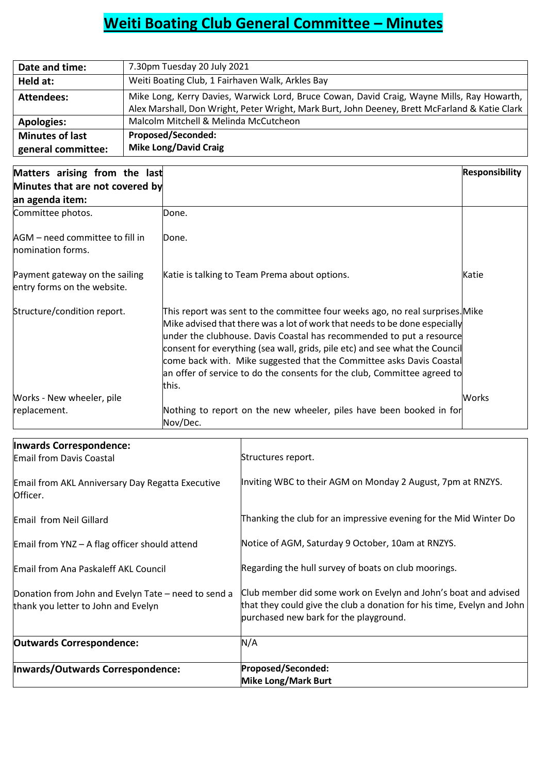## **Weiti Boating Club General Committee – Minutes**

| Date and time:         | 7.30pm Tuesday 20 July 2021                                                                    |
|------------------------|------------------------------------------------------------------------------------------------|
| Held at:               | Weiti Boating Club, 1 Fairhaven Walk, Arkles Bay                                               |
| <b>Attendees:</b>      | Mike Long, Kerry Davies, Warwick Lord, Bruce Cowan, David Craig, Wayne Mills, Ray Howarth,     |
|                        | Alex Marshall, Don Wright, Peter Wright, Mark Burt, John Deeney, Brett McFarland & Katie Clark |
| <b>Apologies:</b>      | Malcolm Mitchell & Melinda McCutcheon                                                          |
| <b>Minutes of last</b> | <b>Proposed/Seconded:</b>                                                                      |
| general committee:     | <b>Mike Long/David Craig</b>                                                                   |

| Matters arising from the last                                                              |                                                                                                                                                                                                                                                                                                                                                                                                                                                                                 |                                                                                                                                                                                     | <b>Responsibility</b> |
|--------------------------------------------------------------------------------------------|---------------------------------------------------------------------------------------------------------------------------------------------------------------------------------------------------------------------------------------------------------------------------------------------------------------------------------------------------------------------------------------------------------------------------------------------------------------------------------|-------------------------------------------------------------------------------------------------------------------------------------------------------------------------------------|-----------------------|
| Minutes that are not covered by                                                            |                                                                                                                                                                                                                                                                                                                                                                                                                                                                                 |                                                                                                                                                                                     |                       |
| an agenda item:                                                                            |                                                                                                                                                                                                                                                                                                                                                                                                                                                                                 |                                                                                                                                                                                     |                       |
| Committee photos.                                                                          | Done.                                                                                                                                                                                                                                                                                                                                                                                                                                                                           |                                                                                                                                                                                     |                       |
| AGM - need committee to fill in<br>nomination forms.                                       | Done.                                                                                                                                                                                                                                                                                                                                                                                                                                                                           |                                                                                                                                                                                     |                       |
| Payment gateway on the sailing<br>entry forms on the website.                              |                                                                                                                                                                                                                                                                                                                                                                                                                                                                                 | Katie is talking to Team Prema about options.                                                                                                                                       | Katie                 |
| Structure/condition report.                                                                | This report was sent to the committee four weeks ago, no real surprises. Mike<br>Mike advised that there was a lot of work that needs to be done especially<br>under the clubhouse. Davis Coastal has recommended to put a resource<br>consent for everything (sea wall, grids, pile etc) and see what the Council<br>come back with. Mike suggested that the Committee asks Davis Coastal<br>an offer of service to do the consents for the club, Committee agreed to<br>this. |                                                                                                                                                                                     |                       |
| Works - New wheeler, pile                                                                  |                                                                                                                                                                                                                                                                                                                                                                                                                                                                                 |                                                                                                                                                                                     | Works                 |
| replacement.                                                                               | Nov/Dec.                                                                                                                                                                                                                                                                                                                                                                                                                                                                        | Nothing to report on the new wheeler, piles have been booked in for                                                                                                                 |                       |
| Inwards Correspondence:                                                                    |                                                                                                                                                                                                                                                                                                                                                                                                                                                                                 |                                                                                                                                                                                     |                       |
| Email from Davis Coastal                                                                   |                                                                                                                                                                                                                                                                                                                                                                                                                                                                                 | Structures report.                                                                                                                                                                  |                       |
| Email from AKL Anniversary Day Regatta Executive<br>Officer.                               |                                                                                                                                                                                                                                                                                                                                                                                                                                                                                 | Inviting WBC to their AGM on Monday 2 August, 7pm at RNZYS.                                                                                                                         |                       |
| Email from Neil Gillard                                                                    |                                                                                                                                                                                                                                                                                                                                                                                                                                                                                 | Thanking the club for an impressive evening for the Mid Winter Do                                                                                                                   |                       |
| Email from YNZ - A flag officer should attend                                              |                                                                                                                                                                                                                                                                                                                                                                                                                                                                                 | Notice of AGM, Saturday 9 October, 10am at RNZYS.                                                                                                                                   |                       |
| Email from Ana Paskaleff AKL Council                                                       |                                                                                                                                                                                                                                                                                                                                                                                                                                                                                 | Regarding the hull survey of boats on club moorings.                                                                                                                                |                       |
| Donation from John and Evelyn Tate - need to send a<br>thank you letter to John and Evelyn |                                                                                                                                                                                                                                                                                                                                                                                                                                                                                 | Club member did some work on Evelyn and John's boat and advised<br>that they could give the club a donation for his time, Evelyn and John<br>purchased new bark for the playground. |                       |
| <b>Outwards Correspondence:</b>                                                            |                                                                                                                                                                                                                                                                                                                                                                                                                                                                                 | N/A                                                                                                                                                                                 |                       |
| Inwards/Outwards Correspondence:                                                           |                                                                                                                                                                                                                                                                                                                                                                                                                                                                                 | Proposed/Seconded:                                                                                                                                                                  |                       |

**Mike Long/Mark Burt**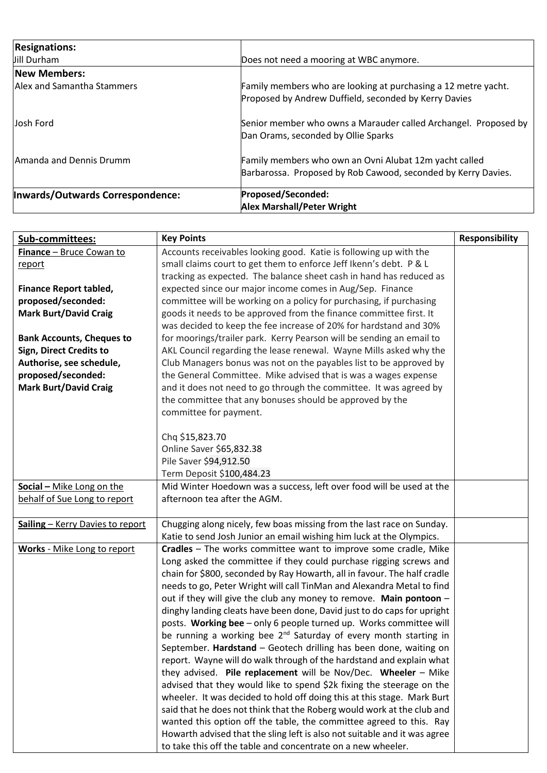| <b>Resignations:</b>             |                                                                                                                         |  |  |
|----------------------------------|-------------------------------------------------------------------------------------------------------------------------|--|--|
| Jill Durham                      | Does not need a mooring at WBC anymore.                                                                                 |  |  |
| <b>New Members:</b>              |                                                                                                                         |  |  |
| lAlex and Samantha Stammers      | Family members who are looking at purchasing a 12 metre yacht.<br>Proposed by Andrew Duffield, seconded by Kerry Davies |  |  |
| Josh Ford                        | Senior member who owns a Marauder called Archangel. Proposed by<br>Dan Orams, seconded by Ollie Sparks                  |  |  |
| lAmanda and Dennis Drumm         | Family members who own an Ovni Alubat 12m yacht called<br>Barbarossa. Proposed by Rob Cawood, seconded by Kerry Davies. |  |  |
| Inwards/Outwards Correspondence: | Proposed/Seconded:<br><b>Alex Marshall/Peter Wright</b>                                                                 |  |  |

| Sub-committees:                    | <b>Key Points</b>                                                                                                                         | <b>Responsibility</b> |
|------------------------------------|-------------------------------------------------------------------------------------------------------------------------------------------|-----------------------|
| Finance - Bruce Cowan to           | Accounts receivables looking good. Katie is following up with the                                                                         |                       |
| report                             | small claims court to get them to enforce Jeff Ikenn's debt. P & L                                                                        |                       |
|                                    | tracking as expected. The balance sheet cash in hand has reduced as                                                                       |                       |
| <b>Finance Report tabled,</b>      | expected since our major income comes in Aug/Sep. Finance                                                                                 |                       |
| proposed/seconded:                 | committee will be working on a policy for purchasing, if purchasing                                                                       |                       |
| <b>Mark Burt/David Craig</b>       | goods it needs to be approved from the finance committee first. It                                                                        |                       |
|                                    | was decided to keep the fee increase of 20% for hardstand and 30%                                                                         |                       |
| <b>Bank Accounts, Cheques to</b>   | for moorings/trailer park. Kerry Pearson will be sending an email to                                                                      |                       |
| <b>Sign, Direct Credits to</b>     | AKL Council regarding the lease renewal. Wayne Mills asked why the                                                                        |                       |
| Authorise, see schedule,           | Club Managers bonus was not on the payables list to be approved by                                                                        |                       |
| proposed/seconded:                 | the General Committee. Mike advised that is was a wages expense                                                                           |                       |
| <b>Mark Burt/David Craig</b>       | and it does not need to go through the committee. It was agreed by                                                                        |                       |
|                                    | the committee that any bonuses should be approved by the                                                                                  |                       |
|                                    | committee for payment.                                                                                                                    |                       |
|                                    |                                                                                                                                           |                       |
|                                    | Chq \$15,823.70                                                                                                                           |                       |
|                                    | Online Saver \$65,832.38                                                                                                                  |                       |
|                                    | Pile Saver \$94,912.50                                                                                                                    |                       |
|                                    | Term Deposit \$100,484.23                                                                                                                 |                       |
| Social - Mike Long on the          | Mid Winter Hoedown was a success, left over food will be used at the                                                                      |                       |
| behalf of Sue Long to report       | afternoon tea after the AGM.                                                                                                              |                       |
|                                    |                                                                                                                                           |                       |
| Sailing - Kerry Davies to report   | Chugging along nicely, few boas missing from the last race on Sunday.                                                                     |                       |
|                                    | Katie to send Josh Junior an email wishing him luck at the Olympics.                                                                      |                       |
| <b>Works</b> - Mike Long to report | Cradles - The works committee want to improve some cradle, Mike                                                                           |                       |
|                                    | Long asked the committee if they could purchase rigging screws and                                                                        |                       |
|                                    | chain for \$800, seconded by Ray Howarth, all in favour. The half cradle                                                                  |                       |
|                                    | needs to go, Peter Wright will call TinMan and Alexandra Metal to find                                                                    |                       |
|                                    | out if they will give the club any money to remove. Main pontoon -                                                                        |                       |
|                                    | dinghy landing cleats have been done, David just to do caps for upright                                                                   |                       |
|                                    | posts. Working bee - only 6 people turned up. Works committee will                                                                        |                       |
|                                    | be running a working bee 2 <sup>nd</sup> Saturday of every month starting in                                                              |                       |
|                                    | September. Hardstand - Geotech drilling has been done, waiting on                                                                         |                       |
|                                    | report. Wayne will do walk through of the hardstand and explain what                                                                      |                       |
|                                    | they advised. Pile replacement will be Nov/Dec. Wheeler $-$ Mike                                                                          |                       |
|                                    | advised that they would like to spend \$2k fixing the steerage on the                                                                     |                       |
|                                    | wheeler. It was decided to hold off doing this at this stage. Mark Burt                                                                   |                       |
|                                    | said that he does not think that the Roberg would work at the club and                                                                    |                       |
|                                    | wanted this option off the table, the committee agreed to this. Ray                                                                       |                       |
|                                    |                                                                                                                                           |                       |
|                                    | Howarth advised that the sling left is also not suitable and it was agree<br>to take this off the table and concentrate on a new wheeler. |                       |